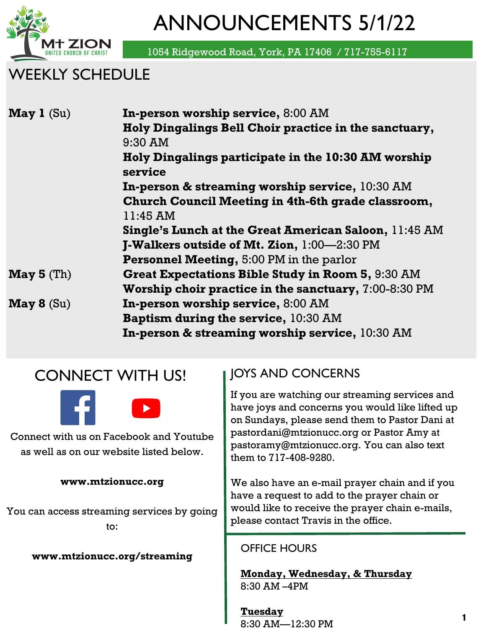

ANNOUNCEMENTS 5/1/22

1054 Ridgewood Road, York, PA 17406 / 717-755-6117

## WEEKLY SCHEDULE

| <b>May 1</b> $(Su)$    | In-person worship service, 8:00 AM                              |  |  |  |  |
|------------------------|-----------------------------------------------------------------|--|--|--|--|
|                        | Holy Dingalings Bell Choir practice in the sanctuary,           |  |  |  |  |
|                        | 9:30 AM                                                         |  |  |  |  |
|                        | Holy Dingalings participate in the 10:30 AM worship<br>service  |  |  |  |  |
|                        | In-person & streaming worship service, 10:30 AM                 |  |  |  |  |
|                        | Church Council Meeting in 4th-6th grade classroom,              |  |  |  |  |
|                        | 11:45 AM                                                        |  |  |  |  |
|                        | <b>Single's Lunch at the Great American Saloon, 11:45 AM</b>    |  |  |  |  |
|                        | <b>J-Walkers outside of Mt. Zion, <math>1:00-2:30</math> PM</b> |  |  |  |  |
|                        | <b>Personnel Meeting, 5:00 PM in the parlor</b>                 |  |  |  |  |
| $\mathbf{May\ 5}$ (Th) | <b>Great Expectations Bible Study in Room 5, 9:30 AM</b>        |  |  |  |  |
|                        | Worship choir practice in the sanctuary, 7:00-8:30 PM           |  |  |  |  |
| $\mathbf{May\ 8}$ (Su) | In-person worship service, 8:00 AM                              |  |  |  |  |
|                        | <b>Baptism during the service, 10:30 AM</b>                     |  |  |  |  |
|                        | In-person & streaming worship service, 10:30 AM                 |  |  |  |  |

## CONNECT WITH US!



Connect with us on Facebook and Youtube as well as on our website listed below.

#### **www.mtzionucc.org**

You can access streaming services by going to:

**www.mtzionucc.org/streaming**

### JOYS AND CONCERNS

If you are watching our streaming services and have joys and concerns you would like lifted up on Sundays, please send them to Pastor Dani at pastordani@mtzionucc.org or Pastor Amy at pastoramy@mtzionucc.org. You can also text them to 717-408-9280.

We also have an e-mail prayer chain and if you have a request to add to the prayer chain or would like to receive the prayer chain e-mails, please contact Travis in the office.

#### OFFICE HOURS

**Monday, Wednesday, & Thursday** 8:30 AM –4PM

**Tuesday**  8:30 AM—12:30 PM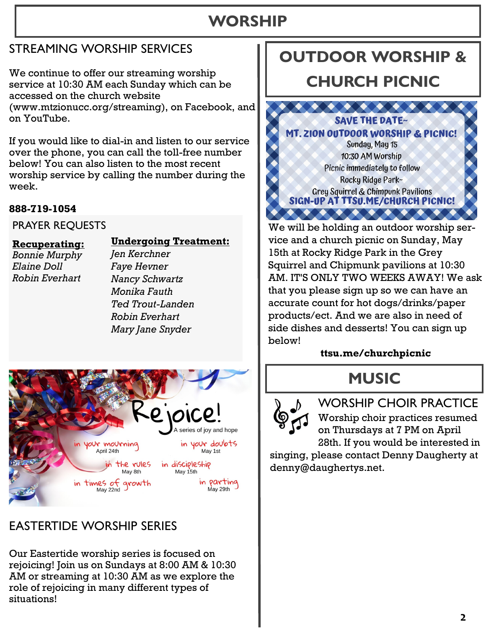## **WORSHIP**

### STREAMING WORSHIP SERVICES

We continue to offer our streaming worship service at 10:30 AM each Sunday which can be accessed on the church website (www.mtzionucc.org/streaming), on Facebook, and on YouTube.

If you would like to dial-in and listen to our service over the phone, you can call the toll-free number below! You can also listen to the most recent worship service by calling the number during the week.

#### **888-719-1054**

PRAYER REQUESTS

#### **Recuperating:**

**Undergoing Treatment:**

*Bonnie Murphy Elaine Doll Robin Everhart*

#### *Faye Hevner Nancy Schwartz Monika Fauth Ted Trout-Landen Robin Everhart Mary Jane Snyder*

*Jen Kerchner*



### EASTERTIDE WORSHIP SERIES

Our Eastertide worship series is focused on rejoicing! Join us on Sundays at 8:00 AM & 10:30 AM or streaming at 10:30 AM as we explore the role of rejoicing in many different types of situations!

# **OUTDOOR WORSHIP &**

## **CHURCH PICNIC**



We will be holding an outdoor worship service and a church picnic on Sunday, May 15th at Rocky Ridge Park in the Grey Squirrel and Chipmunk pavilions at 10:30 AM. IT'S ONLY TWO WEEKS AWAY! We ask that you please sign up so we can have an accurate count for hot dogs/drinks/paper products/ect. And we are also in need of side dishes and desserts! You can sign up below!

### **ttsu.me/churchpicnic**

# **MUSIC**



WORSHIP CHOIR PRACTICE Worship choir practices resumed on Thursdays at 7 PM on April 28th. If you would be interested in

singing, please contact Denny Daugherty at denny@daughertys.net.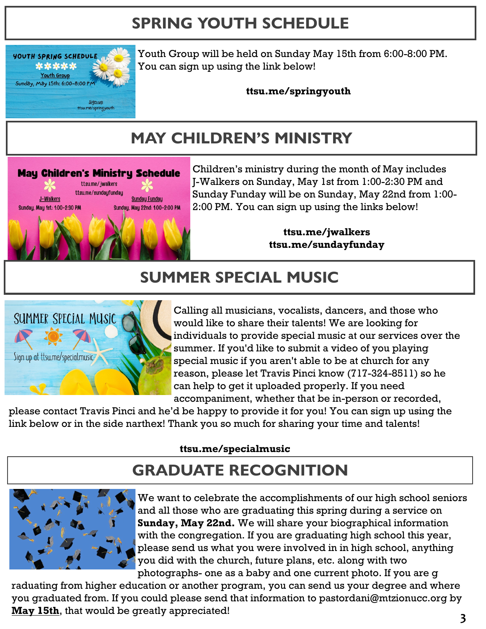# **SPRING YOUTH SCHEDULE**



Youth Group will be held on Sunday May 15th from 6:00-8:00 PM. You can sign up using the link below!

**ttsu.me/springyouth**

# **MAY CHILDREN'S MINISTRY**



Children's ministry during the month of May includes J-Walkers on Sunday, May 1st from 1:00-2:30 PM and Sunday Funday will be on Sunday, May 22nd from 1:00- 2:00 PM. You can sign up using the links below!

> **ttsu.me/jwalkers ttsu.me/sundayfunday**

## **SUMMER SPECIAL MUSIC**



Calling all musicians, vocalists, dancers, and those who would like to share their talents! We are looking for individuals to provide special music at our services over the summer. If you'd like to submit a video of you playing special music if you aren't able to be at church for any reason, please let Travis Pinci know (717-324-8511) so he can help to get it uploaded properly. If you need accompaniment, whether that be in-person or recorded,

please contact Travis Pinci and he'd be happy to provide it for you! You can sign up using the link below or in the side narthex! Thank you so much for sharing your time and talents!

#### **ttsu.me/specialmusic**

# **GRADUATE RECOGNITION**



We want to celebrate the accomplishments of our high school seniors and all those who are graduating this spring during a service on **Sunday, May 22nd.** We will share your biographical information with the congregation. If you are graduating high school this year, please send us what you were involved in in high school, anything you did with the church, future plans, etc. along with two photographs- one as a baby and one current photo. If you are g

raduating from higher education or another program, you can send us your degree and where you graduated from. If you could please send that information to pastordani@mtzionucc.org by **May 15th**, that would be greatly appreciated!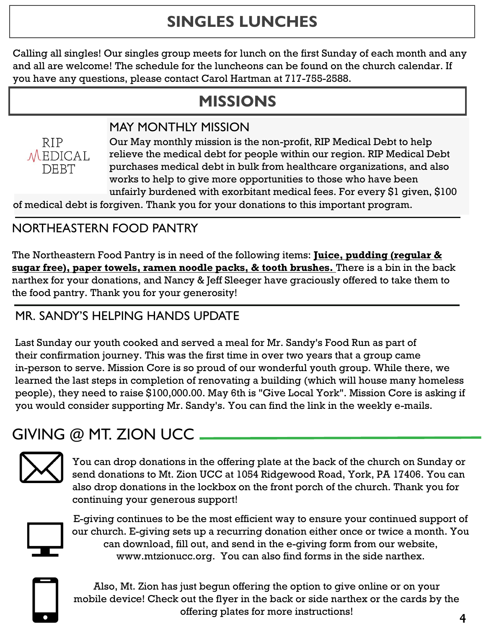# **SINGLES LUNCHES**

Calling all singles! Our singles group meets for lunch on the first Sunday of each month and any and all are welcome! The schedule for the luncheons can be found on the church calendar. If you have any questions, please contact Carol Hartman at 717-755-2588.

## **MISSIONS**

### MAY MONTHLY MISSION

**RIP** MEDICAL **DEBT** 

Our May monthly mission is the non-profit, RIP Medical Debt to help relieve the medical debt for people within our region. RIP Medical Debt purchases medical debt in bulk from healthcare organizations, and also works to help to give more opportunities to those who have been unfairly burdened with exorbitant medical fees. For every \$1 given, \$100

of medical debt is forgiven. Thank you for your donations to this important program.

### NORTHEASTERN FOOD PANTRY

The Northeastern Food Pantry is in need of the following items: **Juice, pudding (regular & sugar free), paper towels, ramen noodle packs, & tooth brushes.** There is a bin in the back narthex for your donations, and Nancy & Jeff Sleeger have graciously offered to take them to the food pantry. Thank you for your generosity!

### MR. SANDY'S HELPING HANDS UPDATE

Last Sunday our youth cooked and served a meal for Mr. Sandy's Food Run as part of their confirmation journey. This was the first time in over two years that a group came in-person to serve. Mission Core is so proud of our wonderful youth group. While there, we learned the last steps in completion of renovating a building (which will house many homeless people), they need to raise \$100,000.00. May 6th is "Give Local York". Mission Core is asking if you would consider supporting Mr. Sandy's. You can find the link in the weekly e-mails.

## GIVING @ MT. ZION UCC



You can drop donations in the offering plate at the back of the church on Sunday or send donations to Mt. Zion UCC at 1054 Ridgewood Road, York, PA 17406. You can also drop donations in the lockbox on the front porch of the church. Thank you for continuing your generous support!



E-giving continues to be the most efficient way to ensure your continued support of our church. E-giving sets up a recurring donation either once or twice a month. You can download, fill out, and send in the e-giving form from our website, www.mtzionucc.org. You can also find forms in the side narthex.



Also, Mt. Zion has just begun offering the option to give online or on your mobile device! Check out the flyer in the back or side narthex or the cards by the offering plates for more instructions!